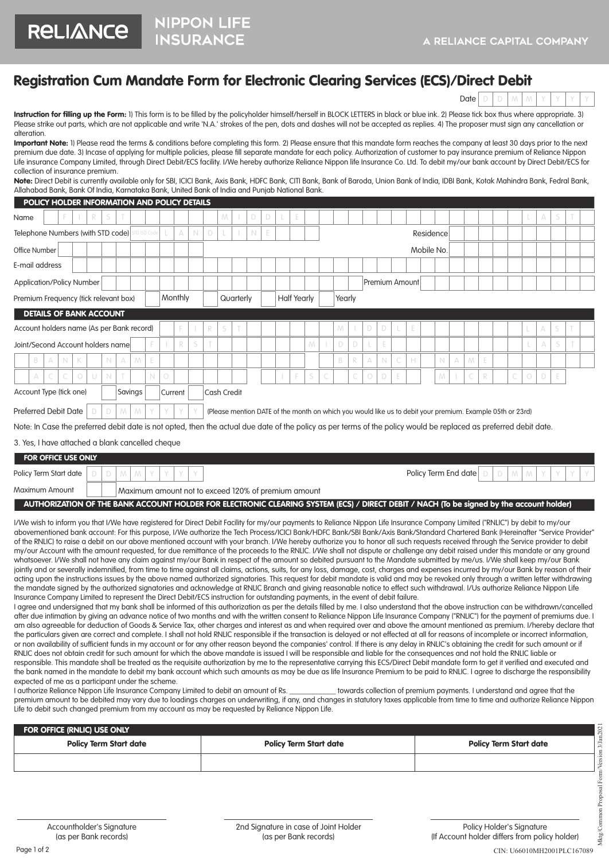## Registration Cum Mandate Form for Electronic Clearing Services (ECS)/Direct Debit

NIPPON LIFE

**RELIANCE** 

|--|

Instruction for filling up the Form: 1) This form is to be filled by the policyholder himself/herself in BLOCK LETTERS in black or blue ink. 2) Please tick box thus where appropriate. 3) Please strike out parts, which are not applicable and write 'N.A.' strokes of the pen, dots and dashes will not be accepted as replies. 4) The proposer must sign any cancellation or alteration.

| <b>Important Note:</b> 1) Please read the terms & conditions before completing this form. 2) Please ensure that this mandate form reaches the company at least 30 days prior to the next |
|------------------------------------------------------------------------------------------------------------------------------------------------------------------------------------------|
| premium due date. 3) Incase of applying for multiple policies, please fill separate mandate for each policy. Authorization of customer to pay insurance premium of Reliance Nippon       |
| Life insurance Company Limited, through Direct Debit/ECS facility. I/We hereby authorize Reliance Nippon life Insurance Co. Ltd. To debit my/our bank account by Direct Debit/ECS for    |
| collection of insurance premium.                                                                                                                                                         |

Note: Direct Debit is currently available only for SBI, ICICI Bank, Axis Bank, HDFC Bank, CITI Bank, Bank of Baroda, Union Bank of India, IDBI Bank, Kotak Mahindra Bank, Fedral Bank, Allahabad Bank, Bank Of India, Karnataka Bank, United Bank of India and Punjab National Bank.

| POLICY HOLDER INFORMATION AND POLICY DETAILS                                                                                                                                                                                                                                                                                                                      |                                                                     |             |            |   |             |             |   |             |            |   |   |                    |   |  |   |        |  |   |  |   |   |            |           |   |                |            |             |   |   |   |                                                                                                           |            |                                                                                                                                          |   |  |
|-------------------------------------------------------------------------------------------------------------------------------------------------------------------------------------------------------------------------------------------------------------------------------------------------------------------------------------------------------------------|---------------------------------------------------------------------|-------------|------------|---|-------------|-------------|---|-------------|------------|---|---|--------------------|---|--|---|--------|--|---|--|---|---|------------|-----------|---|----------------|------------|-------------|---|---|---|-----------------------------------------------------------------------------------------------------------|------------|------------------------------------------------------------------------------------------------------------------------------------------|---|--|
| Name                                                                                                                                                                                                                                                                                                                                                              |                                                                     |             |            |   |             |             |   |             |            |   |   |                    | M |  | D | D      |  |   |  |   |   |            |           |   |                |            |             |   |   |   |                                                                                                           |            | А                                                                                                                                        |   |  |
| Telephone Numbers (with STD code)<br><b>STD ISD Code</b>                                                                                                                                                                                                                                                                                                          |                                                                     |             |            |   |             |             | А | $\mathbb N$ | D          |   |   | $\mathbb N$        |   |  |   |        |  |   |  |   |   |            | Residence |   |                |            |             |   |   |   |                                                                                                           |            |                                                                                                                                          |   |  |
| Office Number                                                                                                                                                                                                                                                                                                                                                     |                                                                     |             |            |   |             |             |   |             |            |   |   |                    |   |  |   |        |  |   |  |   |   |            |           |   |                | Mobile No. |             |   |   |   |                                                                                                           |            |                                                                                                                                          |   |  |
| E-mail address                                                                                                                                                                                                                                                                                                                                                    |                                                                     |             |            |   |             |             |   |             |            |   |   |                    |   |  |   |        |  |   |  |   |   |            |           |   |                |            |             |   |   |   |                                                                                                           |            |                                                                                                                                          |   |  |
| <b>Application/Policy Number</b>                                                                                                                                                                                                                                                                                                                                  |                                                                     |             |            |   |             |             |   |             |            |   |   |                    |   |  |   |        |  |   |  |   |   |            |           |   | Premium Amount |            |             |   |   |   |                                                                                                           |            |                                                                                                                                          |   |  |
| Premium Frequency (tick relevant box)                                                                                                                                                                                                                                                                                                                             |                                                                     |             |            |   |             | Monthly     |   |             | Quarterly  |   |   | <b>Half Yearly</b> |   |  |   | Yearly |  |   |  |   |   |            |           |   |                |            |             |   |   |   |                                                                                                           |            |                                                                                                                                          |   |  |
| <b>DETAILS OF BANK ACCOUNT</b>                                                                                                                                                                                                                                                                                                                                    |                                                                     |             |            |   |             |             |   |             |            |   |   |                    |   |  |   |        |  |   |  |   |   |            |           |   |                |            |             |   |   |   |                                                                                                           |            |                                                                                                                                          |   |  |
| Account holders name (As per Bank record)                                                                                                                                                                                                                                                                                                                         |                                                                     |             |            |   |             |             |   |             |            |   |   |                    |   |  |   |        |  |   |  | M |   |            | D         |   |                |            |             |   |   |   |                                                                                                           |            |                                                                                                                                          |   |  |
| Joint/Second Account holders name                                                                                                                                                                                                                                                                                                                                 |                                                                     |             |            |   |             |             |   |             |            | R | S |                    |   |  |   |        |  | M |  | D | D |            |           |   |                |            |             |   |   |   |                                                                                                           |            | А                                                                                                                                        | S |  |
| B                                                                                                                                                                                                                                                                                                                                                                 | A                                                                   | $\mathbb N$ | K          |   | N           | A           | M | E           |            |   |   |                    |   |  |   |        |  |   |  | B | R | A          | N         | C | H              |            | $\mathbb N$ | A | M | E |                                                                                                           |            |                                                                                                                                          |   |  |
| $\triangle$                                                                                                                                                                                                                                                                                                                                                       |                                                                     |             | $\bigcirc$ | U | $\mathbb N$ |             |   | N           | $\bigcirc$ |   |   |                    |   |  |   |        |  | S |  |   | C | $\bigcirc$ | D         |   |                |            | M           |   | C | R | C                                                                                                         | $\bigcirc$ | D                                                                                                                                        | E |  |
|                                                                                                                                                                                                                                                                                                                                                                   | Account Type (tick one)<br>Savings<br><b>Cash Credit</b><br>Current |             |            |   |             |             |   |             |            |   |   |                    |   |  |   |        |  |   |  |   |   |            |           |   |                |            |             |   |   |   |                                                                                                           |            |                                                                                                                                          |   |  |
| Preferred Debit Date                                                                                                                                                                                                                                                                                                                                              |                                                                     |             |            | D | D           | $M_{\odot}$ | M |             |            |   |   |                    |   |  |   |        |  |   |  |   |   |            |           |   |                |            |             |   |   |   | (Please mention DATE of the month on which you would like us to debit your premium. Example 05th or 23rd) |            |                                                                                                                                          |   |  |
| Note: In Case the preferred debit date is not opted, then the actual due date of the policy as per terms of the policy would be replaced as preferred debit date.                                                                                                                                                                                                 |                                                                     |             |            |   |             |             |   |             |            |   |   |                    |   |  |   |        |  |   |  |   |   |            |           |   |                |            |             |   |   |   |                                                                                                           |            |                                                                                                                                          |   |  |
| 3. Yes, I have attached a blank cancelled cheque                                                                                                                                                                                                                                                                                                                  |                                                                     |             |            |   |             |             |   |             |            |   |   |                    |   |  |   |        |  |   |  |   |   |            |           |   |                |            |             |   |   |   |                                                                                                           |            |                                                                                                                                          |   |  |
| FOR OFFICE USE ONLY                                                                                                                                                                                                                                                                                                                                               |                                                                     |             |            |   |             |             |   |             |            |   |   |                    |   |  |   |        |  |   |  |   |   |            |           |   |                |            |             |   |   |   |                                                                                                           |            |                                                                                                                                          |   |  |
| Policy Term End date<br>Policy Term Start date<br>$M \mid M$<br>D<br>D<br>$\Box$<br>Y<br>$\Box$<br>$M^-$<br>M                                                                                                                                                                                                                                                     |                                                                     |             |            |   |             |             |   |             |            |   |   |                    |   |  |   |        |  |   |  |   |   |            |           |   |                |            |             |   |   |   |                                                                                                           |            |                                                                                                                                          |   |  |
| Maximum Amount<br>Maximum amount not to exceed 120% of premium amount                                                                                                                                                                                                                                                                                             |                                                                     |             |            |   |             |             |   |             |            |   |   |                    |   |  |   |        |  |   |  |   |   |            |           |   |                |            |             |   |   |   |                                                                                                           |            |                                                                                                                                          |   |  |
|                                                                                                                                                                                                                                                                                                                                                                   |                                                                     |             |            |   |             |             |   |             |            |   |   |                    |   |  |   |        |  |   |  |   |   |            |           |   |                |            |             |   |   |   |                                                                                                           |            |                                                                                                                                          |   |  |
|                                                                                                                                                                                                                                                                                                                                                                   |                                                                     |             |            |   |             |             |   |             |            |   |   |                    |   |  |   |        |  |   |  |   |   |            |           |   |                |            |             |   |   |   |                                                                                                           |            | AUTHORIZATION OF THE BANK ACCOUNT HOLDER FOR ELECTRONIC CLEARING SYSTEM (ECS) / DIRECT DEBIT / NACH (To be signed by the account holder) |   |  |
| I/We wish to inform you that I/We have registered for Direct Debit Facility for my/our payments to Reliance Nippon Life Insurance Company Limited ("RNLIC") by debit to my/our<br>abovementioned bank account. For this nurrose, UAIo authorize the Jech Process (ICICI Rank/HDEC Rank/SRI Rank/Avis Rank/Standard Chartered Rank (Heroinafter "Service Provider" |                                                                     |             |            |   |             |             |   |             |            |   |   |                    |   |  |   |        |  |   |  |   |   |            |           |   |                |            |             |   |   |   |                                                                                                           |            |                                                                                                                                          |   |  |

abovementioned bank account: For this purpose, I/We authorize the Tech Process/ICICI Bank/HDFC Bank/SBI Bank/Axis Bank/Standard Chartered Bank (Hereinafter "Service Provider" of the RNLIC) to raise a debit on our above mentioned account with your branch. I/We hereby authorize you to honor all such requests received through the Service provider to debit my/our Account with the amount requested, for due remittance of the proceeds to the RNLIC. I/We shall not dispute or challenge any debit raised under this mandate or any ground whatsoever. I/We shall not have any claim against my/our Bank in respect of the amount so debited pursuant to the Mandate submitted by me/us. I/We shall keep my/our Bank jointly and or severally indemnified, from time to time against all claims, actions, suits, for any loss, damage, cost, charges and expenses incurred by my/our Bank by reason of their acting upon the instructions issues by the above named authorized signatories. This request for debit mandate is valid and may be revoked only through a written letter withdrawing the mandate signed by the authorized signatories and acknowledge at RNLIC Branch and giving reasonable notice to effect such withdrawal. I/Us authorize Reliance Nippon Life Insurance Company Limited to represent the Direct Debit/ECS instruction for outstanding payments, in the event of debit failure.

I agree and undersigned that my bank shall be informed of this authorization as per the details filled by me. I also understand that the above instruction can be withdrawn/cancelled after due intimation by giving an advance notice of two months and with the written consent to Reliance Nippon Life Insurance Company ("RNLIC") for the payment of premiums due. I am also agreeable for deduction of Goods & Service Tax, other charges and interest as and when required over and above the amount mentioned as premium. I/hereby declare that the particulars given are correct and complete. I shall not hold RNLIC responsible if the transaction is delayed or not effected at all for reasons of incomplete or incorrect information, or non availability of sufficient funds in my account or for any other reason beyond the companies' control. If there is any delay in RNLIC's obtaining the credit for such amount or if RNLIC does not obtain credit for such amount for which the above mandate is issued I will be responsible and liable for the consequences and not hold the RNLIC liable or responsible. This mandate shall be treated as the requisite authorization by me to the representative carrying this ECS/Direct Debit mandate form to get it verified and executed and the bank named in the mandate to debit my bank account which such amounts as may be due as life Insurance Premium to be paid to RNLIC. I agree to discharge the responsibility expected of me as a participant under the scheme.

I authorize Reliance Nippon Life Insurance Company Limited to debit an amount of Rs. \_\_\_\_\_\_\_\_\_\_\_\_\_\_\_ towards collection of premium payments. I understand and agree that the premium amount to be debited may vary due to loadings charges on underwriting, if any, and changes in statutory taxes applicable from time to time and authorize Reliance Nippon Life to debit such changed premium from my account as may be requested by Reliance Nippon Life.

| FOR OFFICE (RNLIC) USE ONLY   |                               |                               |  |  |  |  |  |  |  |
|-------------------------------|-------------------------------|-------------------------------|--|--|--|--|--|--|--|
| <b>Policy Term Start date</b> | <b>Policy Term Start date</b> | <b>Policy Term Start date</b> |  |  |  |  |  |  |  |
|                               |                               |                               |  |  |  |  |  |  |  |